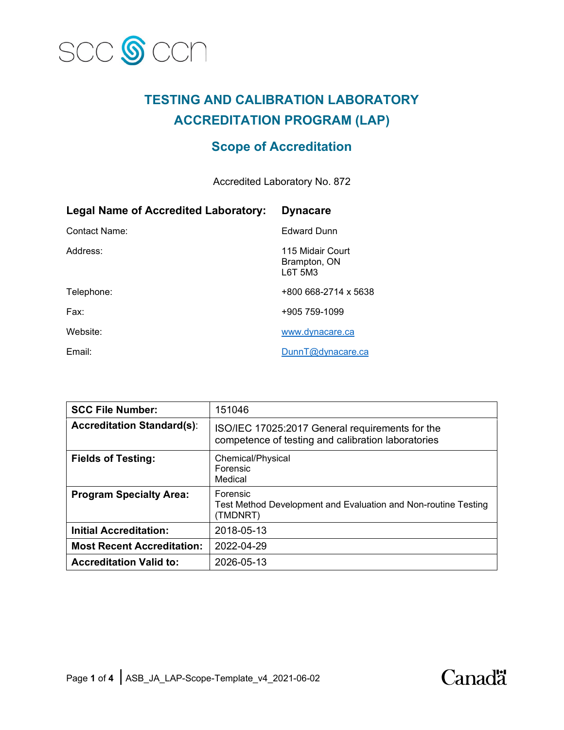

# **TESTING AND CALIBRATION LABORATORY ACCREDITATION PROGRAM (LAP)**

## **Scope of Accreditation**

Accredited Laboratory No. 872

| <b>Legal Name of Accredited Laboratory:</b> | <b>Dynacare</b>                             |
|---------------------------------------------|---------------------------------------------|
| Contact Name:                               | <b>Edward Dunn</b>                          |
| Address:                                    | 115 Midair Court<br>Brampton, ON<br>L6T 5M3 |
| Telephone:                                  | +800 668-2714 x 5638                        |
| Fax:                                        | +905 759-1099                               |
| Website:                                    | www.dynacare.ca                             |
| Email:                                      | DunnT@dvnacare.ca                           |

| <b>SCC File Number:</b>           | 151046                                                                                                |
|-----------------------------------|-------------------------------------------------------------------------------------------------------|
| <b>Accreditation Standard(s):</b> | ISO/IEC 17025:2017 General requirements for the<br>competence of testing and calibration laboratories |
| <b>Fields of Testing:</b>         | Chemical/Physical<br>Forensic<br>Medical                                                              |
| <b>Program Specialty Area:</b>    | Forensic<br>Test Method Development and Evaluation and Non-routine Testing<br>(TMDNRT)                |
| <b>Initial Accreditation:</b>     | 2018-05-13                                                                                            |
| <b>Most Recent Accreditation:</b> | 2022-04-29                                                                                            |
| <b>Accreditation Valid to:</b>    | 2026-05-13                                                                                            |

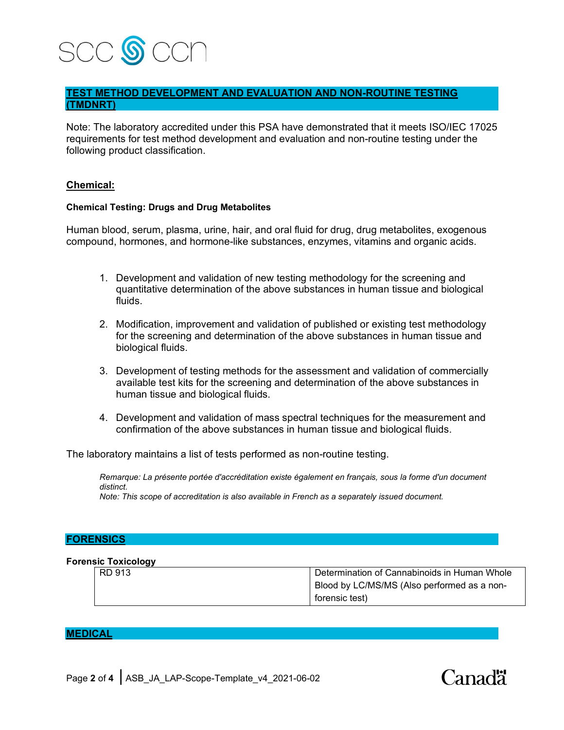

## **TEST METHOD DEVELOPMENT AND EVALUATION AND NON-ROUTINE TESTING (TMDNRT)**

Note: The laboratory accredited under this PSA have demonstrated that it meets ISO/IEC 17025 requirements for test method development and evaluation and non-routine testing under the following product classification.

### **Chemical:**

#### **Chemical Testing: Drugs and Drug Metabolites**

Human blood, serum, plasma, urine, hair, and oral fluid for drug, drug metabolites, exogenous compound, hormones, and hormone-like substances, enzymes, vitamins and organic acids.

- 1. Development and validation of new testing methodology for the screening and quantitative determination of the above substances in human tissue and biological fluids.
- 2. Modification, improvement and validation of published or existing test methodology for the screening and determination of the above substances in human tissue and biological fluids.
- 3. Development of testing methods for the assessment and validation of commercially available test kits for the screening and determination of the above substances in human tissue and biological fluids.
- 4. Development and validation of mass spectral techniques for the measurement and confirmation of the above substances in human tissue and biological fluids.

The laboratory maintains a list of tests performed as non-routine testing.

*Remarque: La présente portée d'accréditation existe également en français, sous la forme d'un document distinct.*

*Note: This scope of accreditation is also available in French as a separately issued document.*

#### **FORENSICS**

#### **Forensic Toxicology**

| . .    |                                              |
|--------|----------------------------------------------|
| RD 913 | Determination of Cannabinoids in Human Whole |
|        | Blood by LC/MS/MS (Also performed as a non-  |
|        | forensic test)                               |

## **MEDICAL**

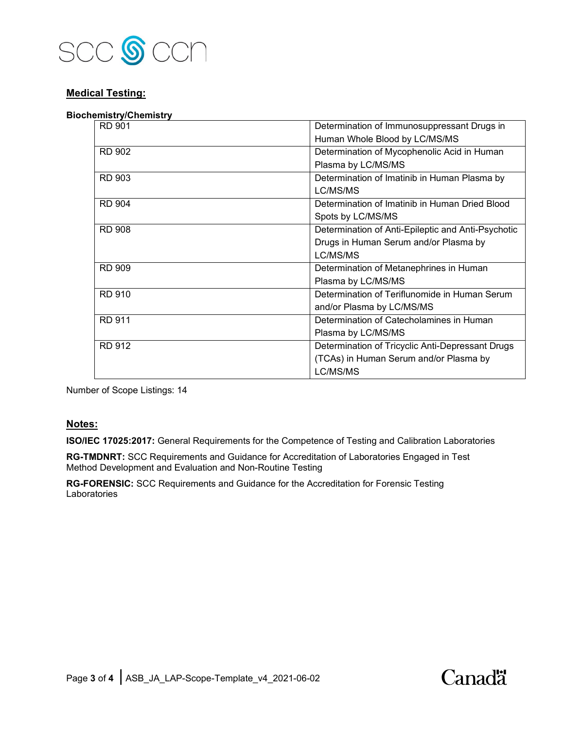

## **Medical Testing:**

#### **Biochemistry/Chemistry**

| <b>RD 901</b> | Determination of Immunosuppressant Drugs in        |
|---------------|----------------------------------------------------|
|               | Human Whole Blood by LC/MS/MS                      |
| <b>RD 902</b> | Determination of Mycophenolic Acid in Human        |
|               | Plasma by LC/MS/MS                                 |
| <b>RD 903</b> | Determination of Imatinib in Human Plasma by       |
|               | LC/MS/MS                                           |
| <b>RD 904</b> | Determination of Imatinib in Human Dried Blood     |
|               | Spots by LC/MS/MS                                  |
| <b>RD 908</b> | Determination of Anti-Epileptic and Anti-Psychotic |
|               | Drugs in Human Serum and/or Plasma by              |
|               | LC/MS/MS                                           |
| <b>RD 909</b> | Determination of Metanephrines in Human            |
|               | Plasma by LC/MS/MS                                 |
| RD 910        | Determination of Teriflunomide in Human Serum      |
|               | and/or Plasma by LC/MS/MS                          |
| <b>RD 911</b> | Determination of Catecholamines in Human           |
|               | Plasma by LC/MS/MS                                 |
| <b>RD 912</b> | Determination of Tricyclic Anti-Depressant Drugs   |
|               | (TCAs) in Human Serum and/or Plasma by             |
|               | LC/MS/MS                                           |

Number of Scope Listings: 14

#### **Notes:**

**ISO/IEC 17025:2017:** General Requirements for the Competence of Testing and Calibration Laboratories

**RG-TMDNRT:** SCC Requirements and Guidance for Accreditation of Laboratories Engaged in Test Method Development and Evaluation and Non-Routine Testing

**RG-FORENSIC:** SCC Requirements and Guidance for the Accreditation for Forensic Testing Laboratories